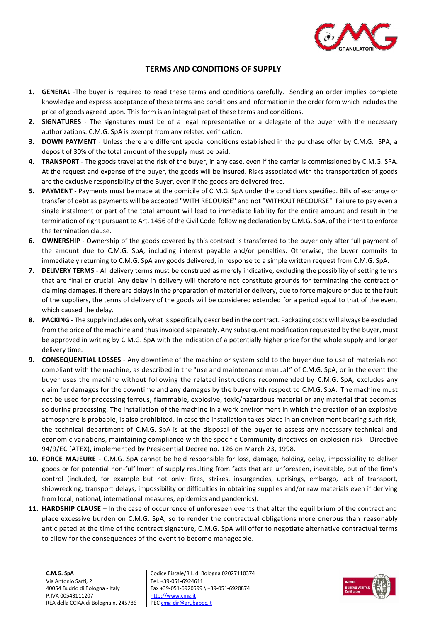

## **TERMS AND CONDITIONS OF SUPPLY**

- **1. GENERAL** -The buyer is required to read these terms and conditions carefully. Sending an order implies complete knowledge and express acceptance of these terms and conditions and information in the order form which includes the price of goods agreed upon. This form is an integral part of these terms and conditions.
- **2. SIGNATURES**  The signatures must be of a legal representative or a delegate of the buyer with the necessary authorizations. C.M.G. SpA is exempt from any related verification.
- **3. DOWN PAYMENT** Unless there are different special conditions established in the purchase offer by C.M.G. SPA, a deposit of 30% of the total amount of the supply must be paid.
- **4. TRANSPORT**  The goods travel at the risk of the buyer, in any case, even if the carrier is commissioned by C.M.G. SPA. At the request and expense of the buyer, the goods will be insured. Risks associated with the transportation of goods are the exclusive responsibility of the Buyer, even if the goods are delivered free.
- **5. PAYMENT**  Payments must be made at the domicile of C.M.G. SpA under the conditions specified. Bills of exchange or transfer of debt as payments will be accepted "WITH RECOURSE" and not "WITHOUT RECOURSE". Failure to pay even a single instalment or part of the total amount will lead to immediate liability for the entire amount and result in the termination of right pursuant to Art. 1456 of the Civil Code, following declaration by C.M.G. SpA, of the intent to enforce the termination clause.
- **6. OWNERSHIP**  Ownership of the goods covered by this contract is transferred to the buyer only after full payment of the amount due to C.M.G. SpA, including interest payable and/or penalties. Otherwise, the buyer commits to immediately returning to C.M.G. SpA any goods delivered, in response to a simple written request from C.M.G. SpA.
- **7. DELIVERY TERMS**  All delivery terms must be construed as merely indicative, excluding the possibility of setting terms that are final or crucial. Any delay in delivery will therefore not constitute grounds for terminating the contract or claiming damages. If there are delays in the preparation of material or delivery, due to force majeure or due to the fault of the suppliers, the terms of delivery of the goods will be considered extended for a period equal to that of the event which caused the delay.
- **8. PACKING**  The supply includes only what is specifically described in the contract. Packaging costs will always be excluded from the price of the machine and thus invoiced separately. Any subsequent modification requested by the buyer, must be approved in writing by C.M.G. SpA with the indication of a potentially higher price for the whole supply and longer delivery time.
- **9. CONSEQUENTIAL LOSSES**  Any downtime of the machine or system sold to the buyer due to use of materials not compliant with the machine, as described in the "use and maintenance manual " of C.M.G. SpA, or in the event the buyer uses the machine without following the related instructions recommended by C.M.G. SpA, excludes any claim for damages for the downtime and any damages by the buyer with respect to C.M.G. SpA. The machine must not be used for processing ferrous, flammable, explosive, toxic/hazardous material or any material that becomes so during processing. The installation of the machine in a work environment in which the creation of an explosive atmosphere is probable, is also prohibited. In case the installation takes place in an environment bearing such risk, the technical department of C.M.G. SpA is at the disposal of the buyer to assess any necessary technical and economic variations, maintaining compliance with the specific Community directives on explosion risk - Directive 94/9/EC (ATEX), implemented by Presidential Decree no. 126 on March 23, 1998.
- **10. FORCE MAJEURE** C.M.G. SpA cannot be held responsible for loss, damage, holding, delay, impossibility to deliver goods or for potential non-fulfilment of supply resulting from facts that are unforeseen, inevitable, out of the firm's control (included, for example but not only: fires, strikes, insurgencies, uprisings, embargo, lack of transport, shipwrecking, transport delays, impossibility or difficulties in obtaining supplies and/or raw materials even if deriving from local, national, international measures, epidemics and pandemics).
- **11. HARDSHIP CLAUSE** In the case of occurrence of unforeseen events that alter the equilibrium of the contract and place excessive burden on C.M.G. SpA, so to render the contractual obligations more onerous than reasonably anticipated at the time of the contract signature, C.M.G. SpA will offer to negotiate alternative contractual terms to allow for the consequences of the event to become manageable.

Via Antonio Sarti, 2 Tel. +39-051-6924611 P.IVA 00543111207 [http://www.cmg.it](http://www.cmg.it/) REA della CCIAA di Bologna n. 245786 PE[C cmg-dir@arubapec.it](mailto:cmg-dir@arubapec.it)

**C.M.G. SpA** Codice Fiscale/R.I. di Bologna 02027110374 40054 Budrio di Bologna - Italy Fax +39-051-6920599 \ +39-051-6920874